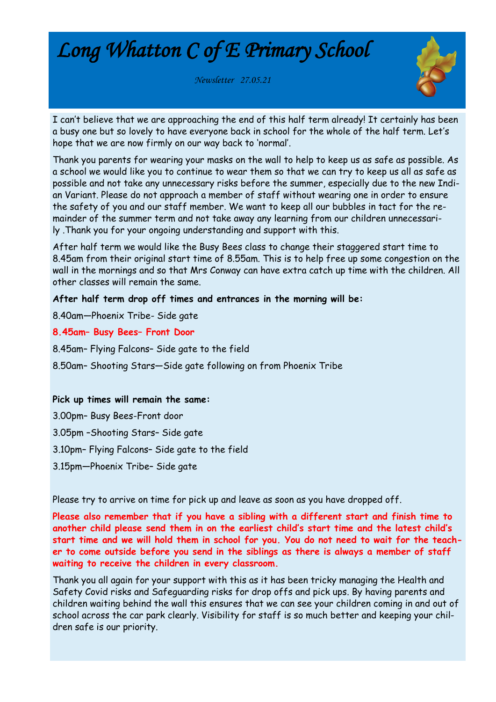# *Long Whatton C of E Primary School*

*Newsletter 27.05.21*



I can't believe that we are approaching the end of this half term already! It certainly has been a busy one but so lovely to have everyone back in school for the whole of the half term. Let's hope that we are now firmly on our way back to 'normal'.

Thank you parents for wearing your masks on the wall to help to keep us as safe as possible. As a school we would like you to continue to wear them so that we can try to keep us all as safe as possible and not take any unnecessary risks before the summer, especially due to the new Indian Variant. Please do not approach a member of staff without wearing one in order to ensure the safety of you and our staff member. We want to keep all our bubbles in tact for the remainder of the summer term and not take away any learning from our children unnecessarily .Thank you for your ongoing understanding and support with this.

After half term we would like the Busy Bees class to change their staggered start time to 8.45am from their original start time of 8.55am. This is to help free up some congestion on the wall in the mornings and so that Mrs Conway can have extra catch up time with the children. All other classes will remain the same.

### **After half term drop off times and entrances in the morning will be:**

- 8.40am—Phoenix Tribe- Side gate
- **8.45am– Busy Bees– Front Door**
- 8.45am– Flying Falcons– Side gate to the field
- 8.50am– Shooting Stars—Side gate following on from Phoenix Tribe

#### **Pick up times will remain the same:**

- 3.00pm– Busy Bees-Front door
- 3.05pm –Shooting Stars– Side gate
- 3.10pm– Flying Falcons– Side gate to the field
- 3.15pm—Phoenix Tribe– Side gate

Please try to arrive on time for pick up and leave as soon as you have dropped off.

**Please also remember that if you have a sibling with a different start and finish time to another child please send them in on the earliest child's start time and the latest child's start time and we will hold them in school for you. You do not need to wait for the teacher to come outside before you send in the siblings as there is always a member of staff waiting to receive the children in every classroom.**

Thank you all again for your support with this as it has been tricky managing the Health and Safety Covid risks and Safeguarding risks for drop offs and pick ups. By having parents and children waiting behind the wall this ensures that we can see your children coming in and out of school across the car park clearly. Visibility for staff is so much better and keeping your children safe is our priority.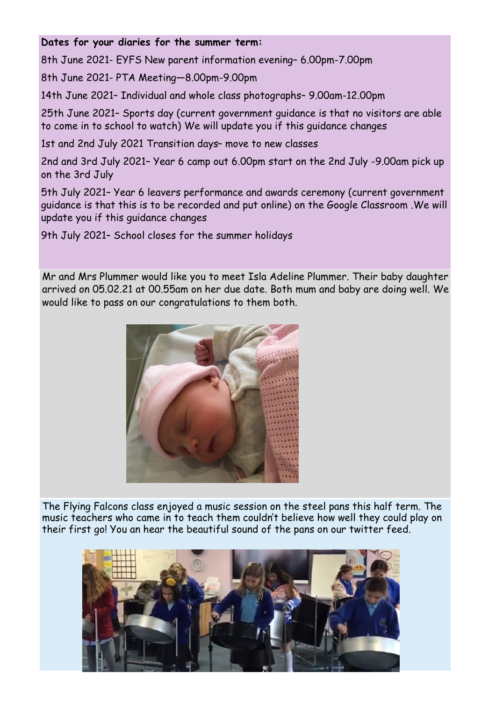# **Dates for your diaries for the summer term:**

8th June 2021- EYFS New parent information evening– 6.00pm-7.00pm

8th June 2021- PTA Meeting—8.00pm-9.00pm

14th June 2021– Individual and whole class photographs– 9.00am-12.00pm

25th June 2021– Sports day (current government guidance is that no visitors are able to come in to school to watch) We will update you if this guidance changes

1st and 2nd July 2021 Transition days– move to new classes

2nd and 3rd July 2021– Year 6 camp out 6.00pm start on the 2nd July -9.00am pick up on the 3rd July

5th July 2021– Year 6 leavers performance and awards ceremony (current government guidance is that this is to be recorded and put online) on the Google Classroom .We will update you if this guidance changes

9th July 2021– School closes for the summer holidays

Mr and Mrs Plummer would like you to meet Isla Adeline Plummer. Their baby daughter arrived on 05.02.21 at 00.55am on her due date. Both mum and baby are doing well. We would like to pass on our congratulations to them both.



The Flying Falcons class enjoyed a music session on the steel pans this half term. The music teachers who came in to teach them couldn't believe how well they could play on their first go! You an hear the beautiful sound of the pans on our twitter feed.